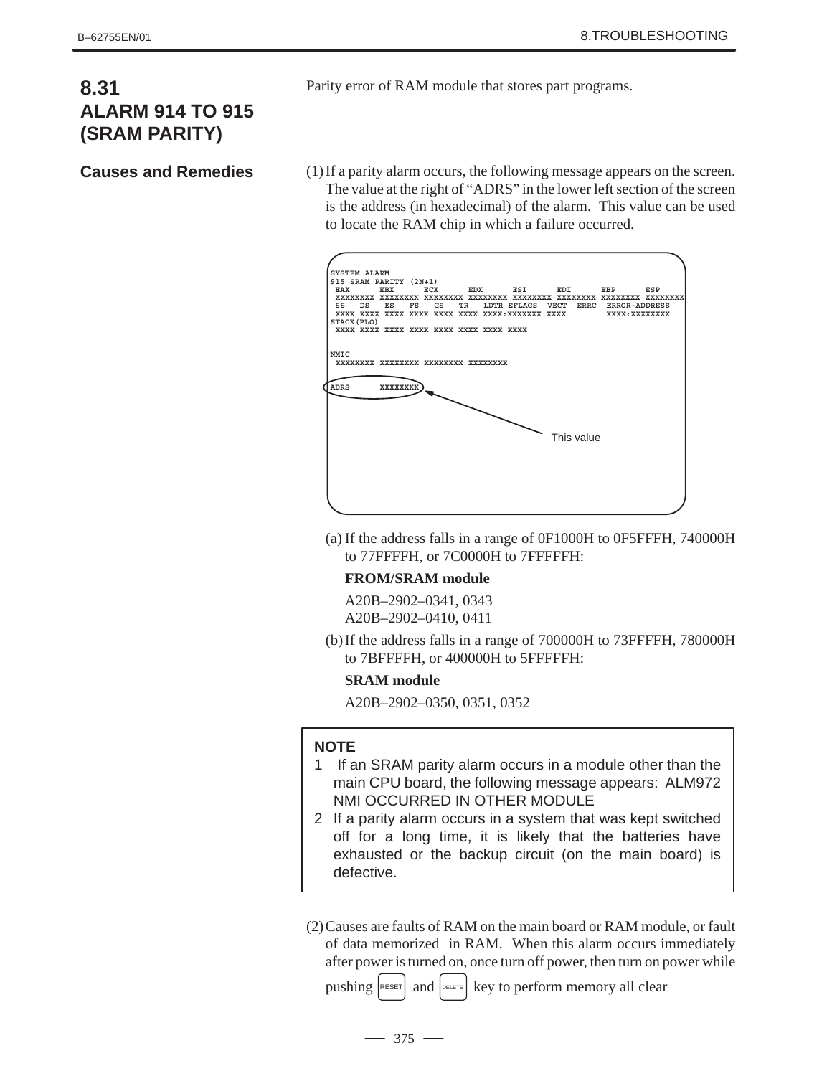# **8.31 ALARM 914 TO 915 (SRAM PARITY)**

**Causes and Remedies**

Parity error of RAM module that stores part programs.

(1)If a parity alarm occurs, the following message appears on the screen. The value at the right of "ADRS" in the lower left section of the screen is the address (in hexadecimal) of the alarm. This value can be used to locate the RAM chip in which a failure occurred.



(a) If the address falls in a range of 0F1000H to 0F5FFFH, 740000H to 77FFFFH, or 7C0000H to 7FFFFFH:

## **FROM/SRAM module**

A20B–2902–0341, 0343 A20B–2902–0410, 0411

(b) If the address falls in a range of 700000H to 73FFFFH, 780000H to 7BFFFFH, or 400000H to 5FFFFFH:

## **SRAM module**

A20B–2902–0350, 0351, 0352

## **NOTE**

- 1 If an SRAM parity alarm occurs in a module other than the main CPU board, the following message appears: ALM972 NMI OCCURRED IN OTHER MODULE
- 2 If a parity alarm occurs in a system that was kept switched off for a long time, it is likely that the batteries have exhausted or the backup circuit (on the main board) is defective.
- (2)Causes are faults of RAM on the main board or RAM module, or fault of data memorized in RAM. When this alarm occurs immediately after power is turned on, once turn off power, then turn on power while

pushing  $\kappa$  eset and  $\kappa$  and  $\kappa$  key to perform memory all clear